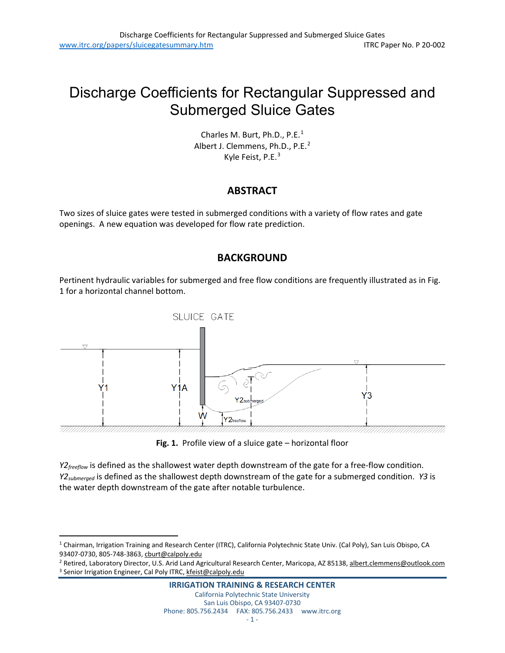# Discharge Coefficients for Rectangular Suppressed and Submerged Sluice Gates

Charles M. Burt, Ph.D., P.E.<sup>[1](#page-0-0)</sup> Albert J. Clemmens, Ph.D., P.E.<sup>[2](#page-0-1)</sup> Kyle Feist, P.E.<sup>[3](#page-0-2)</sup>

# **ABSTRACT**

Two sizes of sluice gates were tested in submerged conditions with a variety of flow rates and gate openings. A new equation was developed for flow rate prediction.

# **BACKGROUND**

Pertinent hydraulic variables for submerged and free flow conditions are frequently illustrated as in Fig. 1 for a horizontal channel bottom.



**Fig. 1.** Profile view of a sluice gate – horizontal floor

*Y2<sub>freeflow* is defined as the shallowest water depth downstream of the gate for a free-flow condition.</sub> *Y2submerged* is defined as the shallowest depth downstream of the gate for a submerged condition. *Y3* is the water depth downstream of the gate after notable turbulence.

<span id="page-0-2"></span><span id="page-0-1"></span><sup>2</sup> Retired, Laboratory Director, U.S. Arid Land Agricultural Research Center, Maricopa, AZ 85138[, albert.clemmens@outlook.com](mailto:albert.clemmens@outlook.com) <sup>3</sup> Senior Irrigation Engineer, Cal Poly ITRC[, kfeist@calpoly.edu](mailto:kfeist@calpoly.edu)

<span id="page-0-0"></span><sup>&</sup>lt;sup>1</sup> Chairman, Irrigation Training and Research Center (ITRC), California Polytechnic State Univ. (Cal Poly), San Luis Obispo, CA 93407-0730, 805-748-3863[, cburt@calpoly.edu](mailto:cburt@calpoly.edu)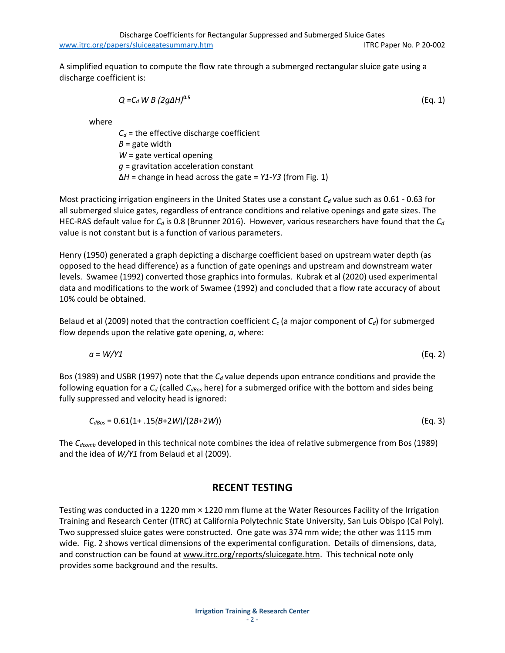Discharge Coefficients for Rectangular Suppressed and Submerged Sluice Gates [www.itrc.org/papers/sluicegatesummary.htm](http://www.itrc.org/papers/sluicegatesummary.htm) ITRC Paper No. P 20-002

A simplified equation to compute the flow rate through a submerged rectangular sluice gate using a discharge coefficient is:

$$
Q = C_d W B (2g\Delta H)^{0.5}
$$
 (Eq. 1)

where

 $C_d$  = the effective discharge coefficient *B* = gate width *W* = gate vertical opening *g* = gravitation acceleration constant Δ*H* = change in head across the gate = *Y1-Y3* (from Fig. 1)

Most practicing irrigation engineers in the United States use a constant C<sub>d</sub> value such as 0.61 - 0.63 for all submerged sluice gates, regardless of entrance conditions and relative openings and gate sizes. The HEC-RAS default value for  $C_d$  is 0.8 (Brunner 2016). However, various researchers have found that the  $C_d$ value is not constant but is a function of various parameters.

Henry (1950) generated a graph depicting a discharge coefficient based on upstream water depth (as opposed to the head difference) as a function of gate openings and upstream and downstream water levels. Swamee (1992) converted those graphics into formulas. Kubrak et al (2020) used experimental data and modifications to the work of Swamee (1992) and concluded that a flow rate accuracy of about 10% could be obtained.

Belaud et al (2009) noted that the contraction coefficient  $C_c$  (a major component of  $C_d$ ) for submerged flow depends upon the relative gate opening, *a*, where:

*a* = *W/Y1* (Eq. 2)

Bos (1989) and USBR (1997) note that the *C<sub>d</sub>* value depends upon entrance conditions and provide the following equation for a C<sub>d</sub> (called C<sub>dBos</sub> here) for a submerged orifice with the bottom and sides being fully suppressed and velocity head is ignored:

$$
C_{dBos} = 0.61(1 + .15(B+2W)/(2B+2W))
$$
 (Eq. 3)

The *C<sub>dcomb</sub>* developed in this technical note combines the idea of relative submergence from Bos (1989) and the idea of *W/Y1* from Belaud et al (2009).

#### **RECENT TESTING**

Testing was conducted in a 1220 mm × 1220 mm flume at the Water Resources Facility of the Irrigation Training and Research Center (ITRC) at California Polytechnic State University, San Luis Obispo (Cal Poly). Two suppressed sluice gates were constructed. One gate was 374 mm wide; the other was 1115 mm wide. Fig. 2 shows vertical dimensions of the experimental configuration. Details of dimensions, data, and construction can be found at [www.itrc.org/reports/sluicegate.htm.](http://www.itrc.org/reports/sluicegate.htm) This technical note only provides some background and the results.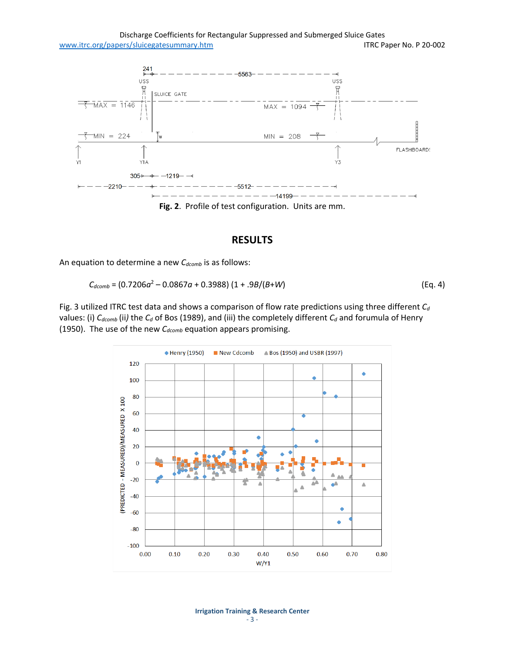

**Fig. 2**. Profile of test configuration. Units are mm.

## **RESULTS**

An equation to determine a new C<sub>dcomb</sub> is as follows:

$$
C_{dcomb} = (0.7206a^2 - 0.0867a + 0.3988) (1 + .9B/(B+W))
$$
 (Eq. 4)

Fig. 3 utilized ITRC test data and shows a comparison of flow rate predictions using three different  $C_d$ values: (i)  $C_{dcomb}$  (ii) the  $C_d$  of Bos (1989), and (iii) the completely different  $C_d$  and forumula of Henry (1950). The use of the new *C<sub>dcomb</sub>* equation appears promising.